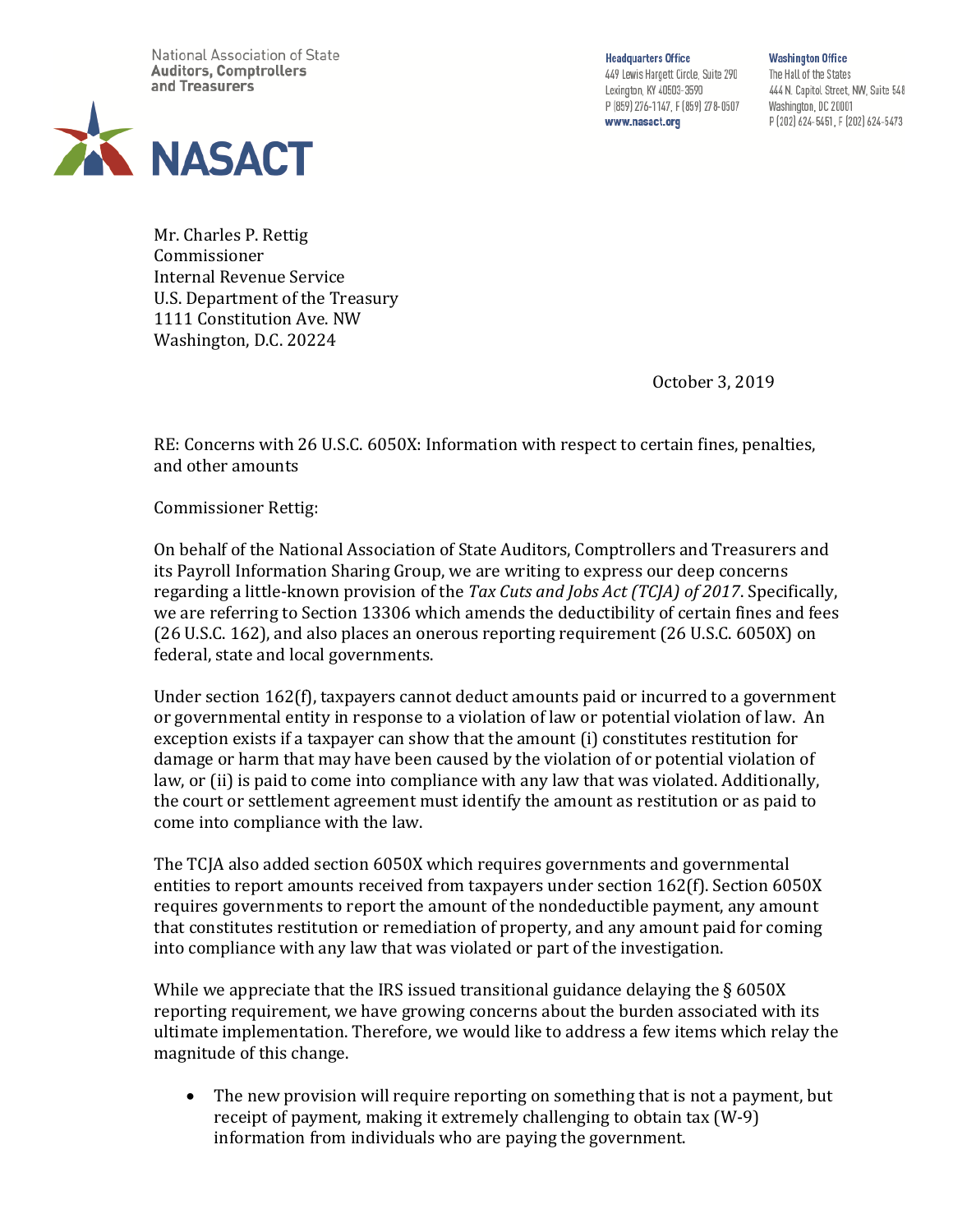National Association of State **Auditors, Comptrollers** and Treasurers



**Headquarters Office** 

449 Lewis Hargett Circle, Suite 290 Lexington, KY 40503-3590 P (859) 276-1147, F (859) 278-0507 www.nasact.org

**Washington Office** The Hall of the States 444 N. Capitol Street, NW, Suite 548 Washington, DC 20001 P (202) 624-5451, F (202) 624-5473

Mr. Charles P. Rettig Commissioner Internal Revenue Service U.S. Department of the Treasury 1111 Constitution Ave. NW Washington, D.C. 20224

October 3, 2019

RE: Concerns with 26 U.S.C. 6050X: Information with respect to certain fines, penalties, and other amounts

Commissioner Rettig:

On behalf of the National Association of State Auditors, Comptrollers and Treasurers and its Payroll Information Sharing Group, we are writing to express our deep concerns regarding a little-known provision of the *Tax Cuts and Jobs Act (TCJA) of 2017*. Specifically, we are referring to Section 13306 which amends the deductibility of certain fines and fees (26 U.S.C. 162), and also places an onerous reporting requirement (26 U.S.C. 6050X) on federal, state and local governments.

Under section 162(f), taxpayers cannot deduct amounts paid or incurred to a government or governmental entity in response to a violation of law or potential violation of law. An exception exists if a taxpayer can show that the amount (i) constitutes restitution for damage or harm that may have been caused by the violation of or potential violation of law, or (ii) is paid to come into compliance with any law that was violated. Additionally, the court or settlement agreement must identify the amount as restitution or as paid to come into compliance with the law.

The TCJA also added section 6050X which requires governments and governmental entities to report amounts received from taxpayers under section 162(f). Section 6050X requires governments to report the amount of the nondeductible payment, any amount that constitutes restitution or remediation of property, and any amount paid for coming into compliance with any law that was violated or part of the investigation.

While we appreciate that the IRS issued transitional guidance delaying the §6050X reporting requirement, we have growing concerns about the burden associated with its ultimate implementation. Therefore, we would like to address a few items which relay the magnitude of this change.

• The new provision will require reporting on something that is not a payment, but receipt of payment, making it extremely challenging to obtain tax (W-9) information from individuals who are paying the government.